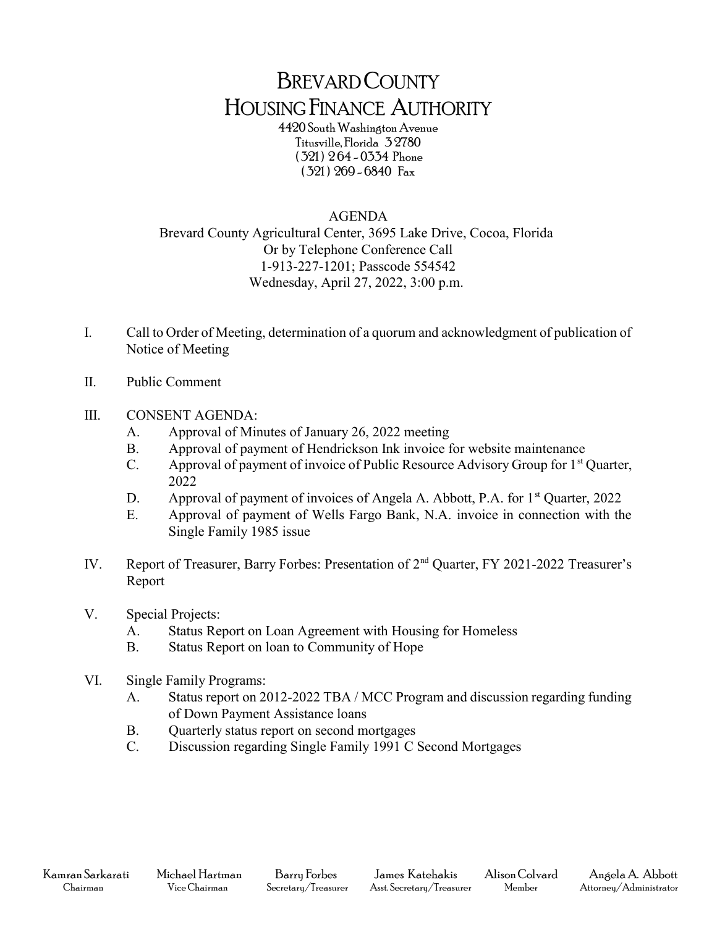## BREVARD COUNTY HOUSING FINANCE AUTHORITY

4420 South Washington Avenue Titusville, Florida 3 2780 ( 321 ) 2 64 - 0334 Phone ( 321 ) 269 - 6840 Fax

## AGENDA

Brevard County Agricultural Center, 3695 Lake Drive, Cocoa, Florida Or by Telephone Conference Call 1-913-227-1201; Passcode 554542 Wednesday, April 27, 2022, 3:00 p.m.

- I. Call to Order of Meeting, determination of a quorum and acknowledgment of publication of Notice of Meeting
- II. Public Comment

## III. CONSENT AGENDA:

- A. Approval of Minutes of January 26, 2022 meeting
- B. Approval of payment of Hendrickson Ink invoice for website maintenance
- C. Approval of payment of invoice of Public Resource Advisory Group for  $1<sup>st</sup>$  Quarter, 2022
- D. Approval of payment of invoices of Angela A. Abbott, P.A. for 1<sup>st</sup> Quarter, 2022
- E. Approval of payment of Wells Fargo Bank, N.A. invoice in connection with the Single Family 1985 issue
- IV. Report of Treasurer, Barry Forbes: Presentation of 2nd Quarter, FY 2021-2022 Treasurer's Report
- V. Special Projects:
	- A. Status Report on Loan Agreement with Housing for Homeless
	- B. Status Report on loan to Community of Hope
- VI. Single Family Programs:
	- A. Status report on 2012-2022 TBA / MCC Program and discussion regarding funding of Down Payment Assistance loans
	- B. Quarterly status report on second mortgages
	- C. Discussion regarding Single Family 1991 C Second Mortgages